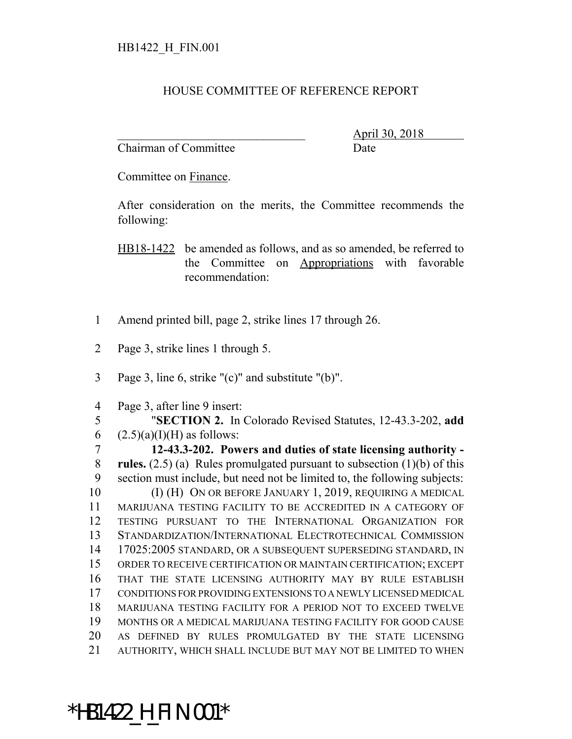## HOUSE COMMITTEE OF REFERENCE REPORT

Chairman of Committee **Date** 

\_\_\_\_\_\_\_\_\_\_\_\_\_\_\_\_\_\_\_\_\_\_\_\_\_\_\_\_\_\_\_ April 30, 2018

Committee on Finance.

After consideration on the merits, the Committee recommends the following:

HB18-1422 be amended as follows, and as so amended, be referred to the Committee on Appropriations with favorable recommendation:

- 1 Amend printed bill, page 2, strike lines 17 through 26.
- 2 Page 3, strike lines 1 through 5.
- 3 Page 3, line 6, strike "(c)" and substitute "(b)".
- 4 Page 3, after line 9 insert:

5 "**SECTION 2.** In Colorado Revised Statutes, 12-43.3-202, **add** 6  $(2.5)(a)(I)(H)$  as follows:

 **12-43.3-202. Powers and duties of state licensing authority - rules.** (2.5) (a) Rules promulgated pursuant to subsection (1)(b) of this section must include, but need not be limited to, the following subjects: 10 (I) (H) ON OR BEFORE JANUARY 1, 2019, REQUIRING A MEDICAL MARIJUANA TESTING FACILITY TO BE ACCREDITED IN A CATEGORY OF

 TESTING PURSUANT TO THE INTERNATIONAL ORGANIZATION FOR STANDARDIZATION/INTERNATIONAL ELECTROTECHNICAL COMMISSION 17025:2005 STANDARD, OR A SUBSEQUENT SUPERSEDING STANDARD, IN ORDER TO RECEIVE CERTIFICATION OR MAINTAIN CERTIFICATION; EXCEPT THAT THE STATE LICENSING AUTHORITY MAY BY RULE ESTABLISH CONDITIONS FOR PROVIDING EXTENSIONS TO A NEWLY LICENSED MEDICAL MARIJUANA TESTING FACILITY FOR A PERIOD NOT TO EXCEED TWELVE MONTHS OR A MEDICAL MARIJUANA TESTING FACILITY FOR GOOD CAUSE AS DEFINED BY RULES PROMULGATED BY THE STATE LICENSING AUTHORITY, WHICH SHALL INCLUDE BUT MAY NOT BE LIMITED TO WHEN

## \*HB1422\_H\_FIN.001\*